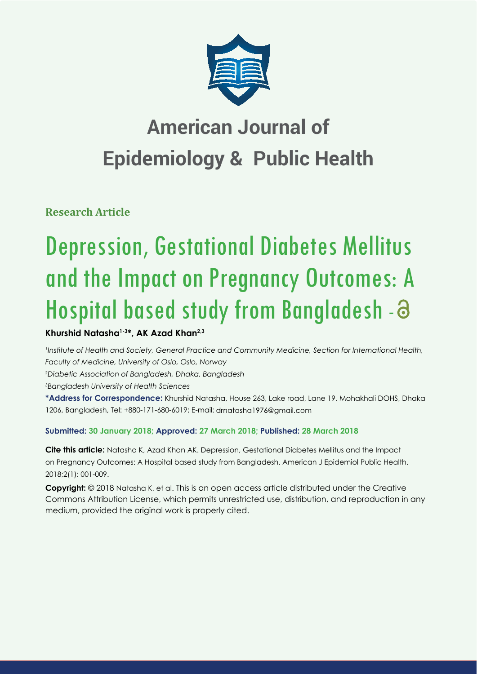

## **American Journal of Epidemiology & Public Health**

**Research Article**

# Depression, Gestational Diabetes Mellitus and the Impact on Pregnancy Outcomes: A Hospital based study from Bangladesh -

## **Khurshid Natasha1-3\*, AK Azad Khan2,3**

*1 Institute of Health and Society, General Practice and Community Medicine, Section for International Health, Faculty of Medicine, University of Oslo, Oslo, Norway* 

*2 Diabetic Association of Bangladesh, Dhaka, Bangladesh* 

*3 Bangladesh University of Health Sciences* 

**\*Address for Correspondence:** Khurshid Natasha, House 263, Lake road, Lane 19, Mohakhali DOHS, Dhaka 1206, Bangladesh, Tel: +880-171-680-6019; E-mail: drnatasha1976@gmail.com

### **Submitted: 30 January 2018; Approved: 27 March 2018; Published: 28 March 2018**

**Cite this article:** Natasha K, Azad Khan AK. Depression, Gestational Diabetes Mellitus and the Impact on Pregnancy Outcomes: A Hospital based study from Bangladesh. American J Epidemiol Public Health. 2018;2(1): 001-009.

**Copyright:** © 2018 Natasha K, et al. This is an open access article distributed under the Creative Commons Attribution License, which permits unrestricted use, distribution, and reproduction in any medium, provided the original work is properly cited.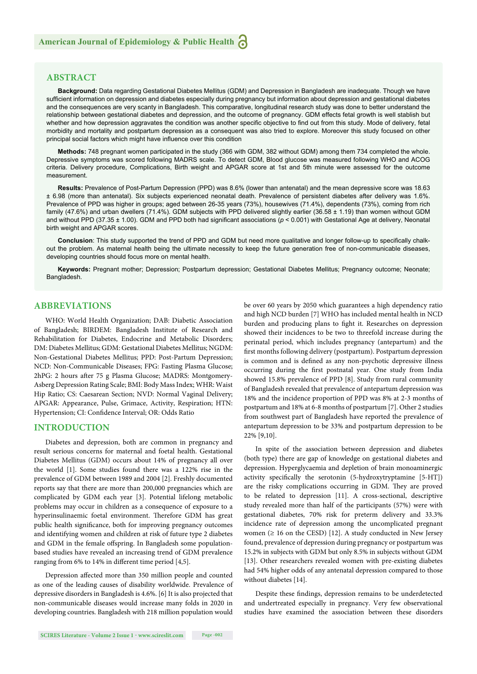#### **ABSTRACT**

**Background:** Data regarding Gestational Diabetes Mellitus (GDM) and Depression in Bangladesh are inadequate. Though we have sufficient information on depression and diabetes especially during pregnancy but information about depression and gestational diabetes and the consequences are very scanty in Bangladesh. This comparative, longitudinal research study was done to better understand the relationship between gestational diabetes and depression, and the outcome of pregnancy. GDM effects fetal growth is well stablish but whether and how depression aggravates the condition was another specific objective to find out from this study. Mode of delivery, fetal morbidity and mortality and postpartum depression as a consequent was also tried to explore. Moreover this study focused on other principal social factors which might have influence over this condition

**Methods:** 748 pregnant women participated in the study (366 with GDM, 382 without GDM) among them 734 completed the whole. Depressive symptoms was scored following MADRS scale. To detect GDM, Blood glucose was measured following WHO and ACOG criteria. Delivery procedure, Complications, Birth weight and APGAR score at 1st and 5th minute were assessed for the outcome measurement.

**Results:** Prevalence of Post-Partum Depression (PPD) was 8.6% (lower than antenatal) and the mean depressive score was 18.63 ± 6.98 (more than antenatal). Six subjects experienced neonatal death. Prevalence of persistent diabetes after delivery was 1.6%. Prevalence of PPD was higher in groups; aged between 26-35 years (73%), housewives (71.4%), dependents (73%), coming from rich family (47.6%) and urban dwellers (71.4%). GDM subjects with PPD delivered slightly earlier (36.58 ± 1.19) than women without GDM and without PPD (37.35  $\pm$  1.00). GDM and PPD both had significant associations ( $p$  < 0.001) with Gestational Age at delivery, Neonatal birth weight and APGAR scores.

Conclusion: This study supported the trend of PPD and GDM but need more qualitative and longer follow-up to specifically chalkout the problem. As maternal health being the ultimate necessity to keep the future generation free of non-communicable diseases, developing countries should focus more on mental health.

**Keywords:** Pregnant mother; Depression; Postpartum depression; Gestational Diabetes Mellitus; Pregnancy outcome; Neonate; Bangladesh.

#### **ABBREVIATIONS**

WHO: World Health Organization; DAB: Diabetic Association of Bangladesh; BIRDEM: Bangladesh Institute of Research and Rehabilitation for Diabetes, Endocrine and Metabolic Disorders; DM: Diabetes Mellitus; GDM: Gestational Diabetes Mellitus; NGDM: Non-Gestational Diabetes Mellitus; PPD: Post-Partum Depression; NCD: Non-Communicable Diseases; FPG: Fasting Plasma Glucose; 2hPG: 2 hours after 75 g Plasma Glucose; MADRS: Montgomery-Asberg Depression Rating Scale; BMI: Body Mass Index; WHR: Waist Hip Ratio; CS: Caesarean Section; NVD: Normal Vaginal Delivery; APGAR: Appearance, Pulse, Grimace, Activity, Respiration; HTN: Hypertension; CI: Confidence Interval; OR: Odds Ratio

#### **INTRODUCTION**

Diabetes and depression, both are common in pregnancy and result serious concerns for maternal and foetal health. Gestational Diabetes Mellitus (GDM) occurs about 14% of pregnancy all over the world [1]. Some studies found there was a 122% rise in the prevalence of GDM between 1989 and 2004 [2]. Freshly documented reports say that there are more than 200,000 pregnancies which are complicated by GDM each year [3]. Potential lifelong metabolic problems may occur in children as a consequence of exposure to a hyperinsulinaemic foetal environment. Therefore GDM has great public health significance, both for improving pregnancy outcomes and identifying women and children at risk of future type 2 diabetes and GDM in the female offspring. In Bangladesh some populationbased studies have revealed an increasing trend of GDM prevalence ranging from 6% to 14% in different time period  $[4,5]$ .

Depression affected more than 350 million people and counted as one of the leading causes of disability worldwide. Prevalence of depressive disorders in Bangladesh is 4.6%. [6] It is also projected that non-communicable diseases would increase many folds in 2020 in developing countries. Bangladesh with 218 million population would be over 60 years by 2050 which guarantees a high dependency ratio and high NCD burden [7] WHO has included mental health in NCD burden and producing plans to fight it. Researches on depression showed their incidences to be two to threefold increase during the perinatal period, which includes pregnancy (antepartum) and the first months following delivery (postpartum). Postpartum depression is common and is defined as any non-psychotic depressive illness occurring during the first postnatal year. One study from India showed 15.8% prevalence of PPD [8]. Study from rural community of Bangladesh revealed that prevalence of antepartum depression was 18% and the incidence proportion of PPD was 8% at 2-3 months of postpartum and 18% at 6-8 months of postpartum [7]. Other 2 studies from southwest part of Bangladesh have reported the prevalence of antepartum depression to be 33% and postpartum depression to be 22% [9,10].

In spite of the association between depression and diabetes (both type) there are gap of knowledge on gestational diabetes and depression. Hyperglycaemia and depletion of brain monoaminergic activity specifically the serotonin (5-hydroxytryptamine [5-HT]) are the risky complications occurring in GDM. They are proved to be related to depression [11]. A cross-sectional, descriptive study revealed more than half of the participants (57%) were with gestational diabetes, 70% risk for preterm delivery and 33.3% incidence rate of depression among the uncomplicated pregnant women  $(≥ 16$  on the CESD) [12]. A study conducted in New Jersey found, prevalence of depression during pregnancy or postpartum was 15.2% in subjects with GDM but only 8.5% in subjects without GDM [13]. Other researchers revealed women with pre-existing diabetes had 54% higher odds of any antenatal depression compared to those without diabetes [14].

Despite these findings, depression remains to be underdetected and undertreated especially in pregnancy. Very few observational studies have examined the association between these disorders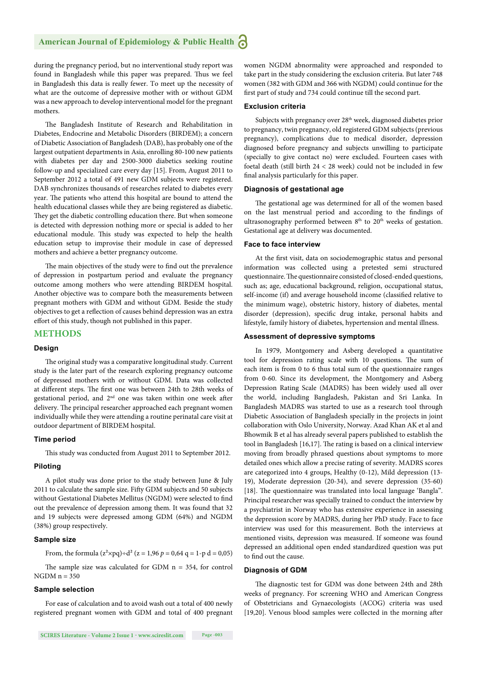during the pregnancy period, but no interventional study report was found in Bangladesh while this paper was prepared. Thus we feel in Bangladesh this data is really fewer. To meet up the necessity of what are the outcome of depressive mother with or without GDM was a new approach to develop interventional model for the pregnant mothers.

The Bangladesh Institute of Research and Rehabilitation in Diabetes, Endocrine and Metabolic Disorders (BIRDEM); a concern of Diabetic Association of Bangladesh (DAB), has probably one of the largest outpatient departments in Asia, enrolling 80-100 new patients with diabetes per day and 2500-3000 diabetics seeking routine follow-up and specialized care every day [15]. From, August 2011 to September 2012 a total of 491 new GDM subjects were registered. DAB synchronizes thousands of researches related to diabetes every year. The patients who attend this hospital are bound to attend the health educational classes while they are being registered as diabetic. They get the diabetic controlling education there. But when someone is detected with depression nothing more or special is added to her educational module. This study was expected to help the health education setup to improvise their module in case of depressed mothers and achieve a better pregnancy outcome.

The main objectives of the study were to find out the prevalence of depression in postpartum period and evaluate the pregnancy outcome among mothers who were attending BIRDEM hospital. Another objective was to compare both the measurements between pregnant mothers with GDM and without GDM. Beside the study objectives to get a reflection of causes behind depression was an extra effort of this study, though not published in this paper.

#### **METHODS**

#### **Design**

The original study was a comparative longitudinal study. Current study is the later part of the research exploring pregnancy outcome of depressed mothers with or without GDM. Data was collected at different steps. The first one was between 24th to 28th weeks of gestational period, and 2<sup>nd</sup> one was taken within one week after delivery. The principal researcher approached each pregnant women individually while they were attending a routine perinatal care visit at outdoor department of BIRDEM hospital.

#### **Time period**

This study was conducted from August 2011 to September 2012.

#### **Piloting**

A pilot study was done prior to the study between June & July 2011 to calculate the sample size. Fifty GDM subjects and 50 subjects without Gestational Diabetes Mellitus (NGDM) were selected to find out the prevalence of depression among them. It was found that 32 and 19 subjects were depressed among GDM (64%) and NGDM (38%) group respectively.

#### **Sample size**

From, the formula  $(z^2 \times pq) \div d^2$  (z = 1,96  $p = 0,64$  q = 1-p d = 0,05)

The sample size was calculated for GDM  $n = 354$ , for control  $NGDM n = 350$ 

#### **Sample selection**

For ease of calculation and to avoid wash out a total of 400 newly registered pregnant women with GDM and total of 400 pregnant women NGDM abnormality were approached and responded to take part in the study considering the exclusion criteria. But later 748 women (382 with GDM and 366 with NGDM) could continue for the first part of study and 734 could continue till the second part.

#### **Exclusion criteria**

Subjects with pregnancy over 28<sup>th</sup> week, diagnosed diabetes prior to pregnancy, twin pregnancy, old registered GDM subjects (previous pregnancy), complications due to medical disorder, depression diagnosed before pregnancy and subjects unwilling to participate (specially to give contact no) were excluded. Fourteen cases with foetal death (still birth 24 < 28 week) could not be included in few final analysis particularly for this paper.

#### **Diagnosis of gestational age**

The gestational age was determined for all of the women based on the last menstrual period and according to the findings of ultrasonography performed between  $8<sup>th</sup>$  to  $20<sup>th</sup>$  weeks of gestation. Gestational age at delivery was documented.

#### **Face to face interview**

At the first visit, data on sociodemographic status and personal information was collected using a pretested semi structured questionnaire. The questionnaire consisted of closed-ended questions, such as; age, educational background, religion, occupational status, self-income (if) and average household income (classified relative to the minimum wage), obstetric history, history of diabetes, mental disorder (depression), specific drug intake, personal habits and lifestyle, family history of diabetes, hypertension and mental illness.

#### **Assessment of depressive symptoms**

In 1979, Montgomery and Asberg developed a quantitative tool for depression rating scale with 10 questions. The sum of each item is from 0 to 6 thus total sum of the questionnaire ranges from 0-60. Since its development, the Montgomery and Asberg Depression Rating Scale (MADRS) has been widely used all over the world, including Bangladesh, Pakistan and Sri Lanka. In Bangladesh MADRS was started to use as a research tool through Diabetic Association of Bangladesh specially in the projects in joint collaboration with Oslo University, Norway. Azad Khan AK et al and Bhowmik B et al has already several papers published to establish the tool in Bangladesh  $[16,17]$ . The rating is based on a clinical interview moving from broadly phrased questions about symptoms to more detailed ones which allow a precise rating of severity. MADRS scores are categorized into 4 groups, Healthy (0-12), Mild depression (13- 19), Moderate depression (20-34), and severe depression (35-60) [18]. The questionnaire was translated into local language 'Bangla". Principal researcher was specially trained to conduct the interview by a psychiatrist in Norway who has extensive experience in assessing the depression score by MADRS, during her PhD study. Face to face interview was used for this measurement. Both the interviews at mentioned visits, depression was measured. If someone was found depressed an additional open ended standardized question was put to find out the cause.

#### **Diagnosis of GDM**

The diagnostic test for GDM was done between 24th and 28th weeks of pregnancy. For screening WHO and American Congress of Obstetricians and Gynaecologists (ACOG) criteria was used [19,20]. Venous blood samples were collected in the morning after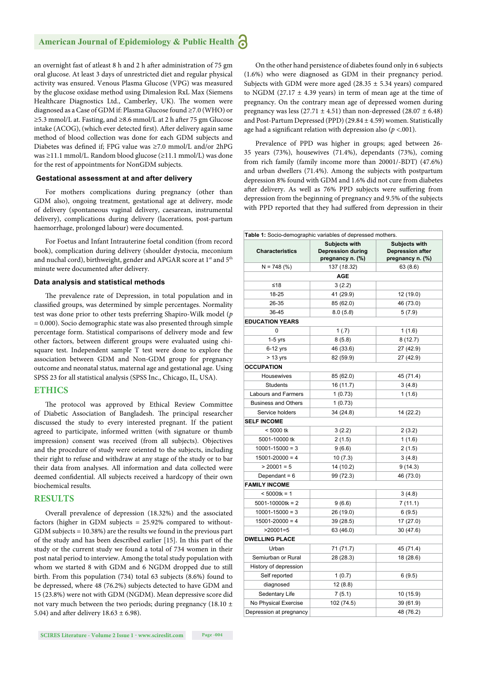an overnight fast of atleast 8 h and 2 h after administration of 75 gm oral glucose. At least 3 days of unrestricted diet and regular physical activity was ensured. Venous Plasma Glucose (VPG) was measured by the glucose oxidase method using Dimalesion RxL Max (Siemens Healthcare Diagnostics Ltd., Camberley, UK). The women were diagnosed as a Case of GDM if: Plasma Glucose found ≥7.0 (WHO) or ≥5.3 mmol/L at. Fasting, and ≥8.6 mmol/L at 2 h after 75 gm Glucose intake (ACOG), (which ever detected first). After delivery again same method of blood collection was done for each GDM subjects and Diabetes was defined if; FPG value was  $\geq 7.0$  mmol/L and/or 2hPG was ≥11.1 mmol/L. Random blood glucose (≥11.1 mmol/L) was done for the rest of appointments for NonGDM subjects.

#### **Gestational assessment at and after delivery**

For mothers complications during pregnancy (other than GDM also), ongoing treatment, gestational age at delivery, mode of delivery (spontaneous vaginal delivery, caesarean, instrumental delivery), complications during delivery (lacerations, post-partum haemorrhage, prolonged labour) were documented.

For Foetus and Infant Intrauterine foetal condition (from record book), complication during delivery (shoulder dystocia, meconium and nuchal cord), birthweight, gender and APGAR score at 1<sup>st</sup> and 5<sup>th</sup> minute were documented after delivery.

#### **Data analysis and statistical methods**

The prevalence rate of Depression, in total population and in classified groups, was determined by simple percentages. Normality test was done prior to other tests preferring Shapiro-Wilk model (*p* = 0.000). Socio demographic state was also presented through simple percentage form. Statistical comparisons of delivery mode and few other factors, between different groups were evaluated using chisquare test. Independent sample T test were done to explore the association between GDM and Non-GDM group for pregnancy outcome and neonatal status, maternal age and gestational age. Using SPSS 23 for all statistical analysis (SPSS Inc., Chicago, IL, USA).

#### **ETHICS**

The protocol was approved by Ethical Review Committee of Diabetic Association of Bangladesh. The principal researcher discussed the study to every interested pregnant. If the patient agreed to participate, informed written (with signature or thumb impression) consent was received (from all subjects). Objectives and the procedure of study were oriented to the subjects, including their right to refuse and withdraw at any stage of the study or to bar their data from analyses. All information and data collected were deemed confidential. All subjects received a hardcopy of their own biochemical results.

#### **RESULTS**

Overall prevalence of depression (18.32%) and the associated factors (higher in GDM subjects = 25.92% compared to without-GDM subjects = 10.38%) are the results we found in the previous part of the study and has been described earlier [15]. In this part of the study or the current study we found a total of 734 women in their post natal period to interview. Among the total study population with whom we started 8 with GDM and 6 NGDM dropped due to still birth. From this population (734) total 63 subjects (8.6%) found to be depressed, where 48 (76.2%) subjects detected to have GDM and 15 (23.8%) were not with GDM (NGDM). Mean depressive score did not vary much between the two periods; during pregnancy (18.10  $\pm$ 5.04) and after delivery  $18.63 \pm 6.98$ ).

On the other hand persistence of diabetes found only in 6 subjects (1.6%) who were diagnosed as GDM in their pregnancy period. Subjects with GDM were more aged (28.35  $\pm$  5.34 years) compared to NGDM (27.17  $\pm$  4.39 years) in term of mean age at the time of pregnancy. On the contrary mean age of depressed women during pregnancy was less (27.71  $\pm$  4.51) than non-depressed (28.07  $\pm$  6.48) and Post-Partum Depressed (PPD) (29.84  $\pm$  4.59) women. Statistically age had a significant relation with depression also  $(p < .001)$ .

Prevalence of PPD was higher in groups; aged between 26- 35 years (73%), housewives (71.4%), dependants (73%), coming from rich family (family income more than 20001/-BDT) (47.6%) and urban dwellers (71.4%). Among the subjects with postpartum depression 8% found with GDM and 1.6% did not cure from diabetes after delivery. As well as 76% PPD subjects were suffering from depression from the beginning of pregnancy and 9.5% of the subjects with PPD reported that they had suffered from depression in their

| Table 1: Socio-demographic variables of depressed mothers. |                           |                         |  |  |  |
|------------------------------------------------------------|---------------------------|-------------------------|--|--|--|
|                                                            | <b>Subjects with</b>      | <b>Subjects with</b>    |  |  |  |
| <b>Characteristics</b>                                     | <b>Depression during</b>  | <b>Depression after</b> |  |  |  |
|                                                            | pregnancy n. (%)          | pregnancy n. (%)        |  |  |  |
| $N = 748$ (%)                                              | 137 (18.32)<br><b>AGE</b> | 63(8.6)                 |  |  |  |
| ≤18                                                        |                           |                         |  |  |  |
| 18-25                                                      | 3(2.2)                    |                         |  |  |  |
|                                                            | 41 (29.9)                 | 12 (19.0)               |  |  |  |
| 26-35                                                      | 85 (62.0)                 | 46 (73.0)               |  |  |  |
| 36-45                                                      | 8.0(5.8)                  | 5(7.9)                  |  |  |  |
| <b>EDUCATION YEARS</b><br>0                                |                           |                         |  |  |  |
|                                                            | 1(.7)                     | 1(1.6)                  |  |  |  |
| $1-5$ yrs                                                  | 8(5.8)                    | 8(12.7)                 |  |  |  |
| $6-12$ yrs                                                 | 46 (33.6)                 | 27 (42.9)               |  |  |  |
| $> 13$ yrs                                                 | 82 (59.9)                 | 27 (42.9)               |  |  |  |
| <b>OCCUPATION</b>                                          |                           |                         |  |  |  |
| Housewives                                                 | 85 (62.0)                 | 45 (71.4)               |  |  |  |
| <b>Students</b>                                            | 16 (11.7)                 | 3(4.8)                  |  |  |  |
| <b>Labours and Farmers</b>                                 | 1(0.73)                   | 1(1.6)                  |  |  |  |
| <b>Business and Others</b>                                 | 1(0.73)                   |                         |  |  |  |
| Service holders                                            | 34 (24.8)                 | 14 (22.2)               |  |  |  |
| <b>SELF INCOME</b>                                         |                           |                         |  |  |  |
| $< 5000$ tk                                                | 3(2.2)                    | 2(3.2)                  |  |  |  |
| 5001-10000 tk                                              | 2(1.5)                    | 1(1.6)                  |  |  |  |
| $10001 - 15000 = 3$                                        | 9(6.6)                    | 2(1.5)                  |  |  |  |
| $15001 - 20000 = 4$                                        | 10(7.3)                   | 3(4.8)                  |  |  |  |
| $> 20001 = 5$                                              | 14 (10.2)                 | 9(14.3)                 |  |  |  |
| Dependant = $6$                                            | 99 (72.3)                 | 46 (73.0)               |  |  |  |
| <b>FAMILY INCOME</b>                                       |                           |                         |  |  |  |
| $< 5000$ tk = 1                                            |                           | 3(4.8)                  |  |  |  |
| $5001 - 10000$ tk = 2                                      | 9(6.6)                    | 7(11.1)                 |  |  |  |
| $10001 - 15000 = 3$                                        | 26 (19.0)                 | 6(9.5)                  |  |  |  |
| $15001 - 20000 = 4$                                        | 39 (28.5)                 | 17 (27.0)               |  |  |  |
| $>20001=5$                                                 | 63 (46.0)                 | 30 (47.6)               |  |  |  |
| <b>DWELLING PLACE</b>                                      |                           |                         |  |  |  |
| Urban                                                      | 71 (71.7)                 | 45 (71.4)               |  |  |  |
| Semiurban or Rural                                         | 28 (28.3)                 | 18 (28.6)               |  |  |  |
| History of depression                                      |                           |                         |  |  |  |
| Self reported                                              | 1(0.7)                    | 6(9.5)                  |  |  |  |
| diagnosed                                                  | 12(8.8)                   |                         |  |  |  |
| Sedentary Life                                             | 7(5.1)                    | 10 (15.9)               |  |  |  |
| No Physical Exercise                                       | 102 (74.5)                | 39 (61.9)               |  |  |  |
| Depression at pregnancy                                    |                           | 48 (76.2)               |  |  |  |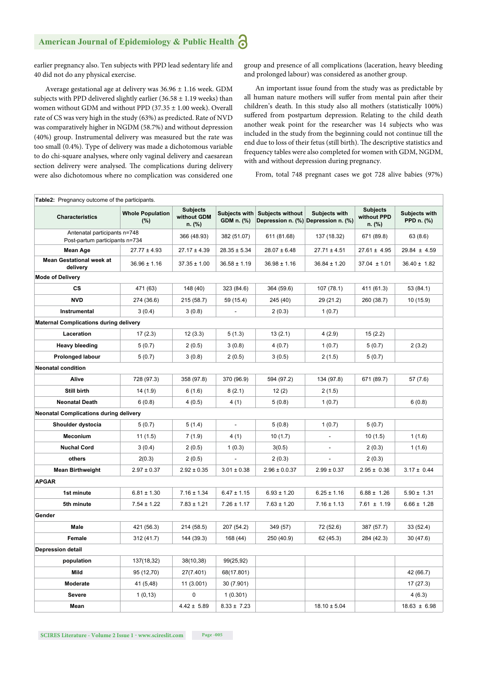earlier pregnancy also. Ten subjects with PPD lead sedentary life and 40 did not do any physical exercise.

Average gestational age at delivery was 36.96 ± 1.16 week. GDM subjects with PPD delivered slightly earlier (36.58  $\pm$  1.19 weeks) than women without GDM and without PPD (37.35 ± 1.00 week). Overall rate of CS was very high in the study (63%) as predicted. Rate of NVD was comparatively higher in NGDM (58.7%) and without depression (40%) group. Instrumental delivery was measured but the rate was too small (0.4%). Type of delivery was made a dichotomous variable to do chi-square analyses, where only vaginal delivery and caesarean section delivery were analysed. The complications during delivery were also dichotomous where no complication was considered one group and presence of all complications (laceration, heavy bleeding and prolonged labour) was considered as another group.

An important issue found from the study was as predictable by all human nature mothers will suffer from mental pain after their children's death. In this study also all mothers (statistically 100%) suffered from postpartum depression. Relating to the child death another weak point for the researcher was 14 subjects who was included in the study from the beginning could not continue till the end due to loss of their fetus (still birth). The descriptive statistics and frequency tables were also completed for women with GDM, NGDM, with and without depression during pregnancy.

From, total 748 pregnant cases we got 728 alive babies (97%)

| <b>Table2:</b> Pregnancy outcome of the participants.          |                                |                                          |                             |                                                                |                  |                                          |                             |
|----------------------------------------------------------------|--------------------------------|------------------------------------------|-----------------------------|----------------------------------------------------------------|------------------|------------------------------------------|-----------------------------|
| <b>Characteristics</b>                                         | <b>Whole Population</b><br>(%) | <b>Subjects</b><br>without GDM<br>n. (%) | Subjects with<br>GDM n. (%) | <b>Subjects without</b><br>Depression n. (%) Depression n. (%) | Subjects with    | <b>Subjects</b><br>without PPD<br>n. (%) | Subjects with<br>PPD n. (%) |
| Antenatal participants n=748<br>Post-partum participants n=734 |                                | 366 (48.93)                              | 382 (51.07)                 | 611 (81.68)                                                    | 137 (18.32)      | 671 (89.8)                               | 63 (8.6)                    |
| Mean Age                                                       | $27.77 \pm 4.93$               | $27.17 \pm 4.39$                         | $28.35 \pm 5.34$            | $28.07 \pm 6.48$                                               | $27.71 \pm 4.51$ | $27.61 \pm 4.95$                         | $29.84 \pm 4.59$            |
| <b>Mean Gestational week at</b><br>delivery                    | $36.96 \pm 1.16$               | $37.35 \pm 1.00$                         | $36.58 \pm 1.19$            | $36.98 \pm 1.16$                                               | $36.84 \pm 1.20$ | $37.04 \pm 1.01$                         | $36.40 \pm 1.82$            |
| <b>Mode of Delivery</b>                                        |                                |                                          |                             |                                                                |                  |                                          |                             |
| <b>CS</b>                                                      | 471 (63)                       | 148 (40)                                 | 323 (84.6)                  | 364 (59.6)                                                     | 107 (78.1)       | 411 (61.3)                               | 53 (84.1)                   |
| <b>NVD</b>                                                     | 274 (36.6)                     | 215 (58.7)                               | 59 (15.4)                   | 245 (40)                                                       | 29 (21.2)        | 260 (38.7)                               | 10 (15.9)                   |
| Instrumental                                                   | 3(0.4)                         | 3(0.8)                                   |                             | 2(0.3)                                                         | 1(0.7)           |                                          |                             |
| <b>Maternal Complications during delivery</b>                  |                                |                                          |                             |                                                                |                  |                                          |                             |
| Laceration                                                     | 17(2.3)                        | 12(3.3)                                  | 5(1.3)                      | 13(2.1)                                                        | 4(2.9)           | 15(2.2)                                  |                             |
| <b>Heavy bleeding</b>                                          | 5(0.7)                         | 2(0.5)                                   | 3(0.8)                      | 4(0.7)                                                         | 1(0.7)           | 5(0.7)                                   | 2(3.2)                      |
| <b>Prolonged labour</b>                                        | 5(0.7)                         | 3(0.8)                                   | 2(0.5)                      | 3(0.5)                                                         | 2(1.5)           | 5(0.7)                                   |                             |
| <b>Neonatal condition</b>                                      |                                |                                          |                             |                                                                |                  |                                          |                             |
| Alive                                                          | 728 (97.3)                     | 358 (97.8)                               | 370 (96.9)                  | 594 (97.2)                                                     | 134 (97.8)       | 671 (89.7)                               | 57 (7.6)                    |
| Still birth                                                    | 14 (1.9)                       | 6(1.6)                                   | 8(2.1)                      | 12(2)                                                          | 2(1.5)           |                                          |                             |
| <b>Neonatal Death</b>                                          | 6(0.8)                         | 4(0.5)                                   | 4 (1)                       | 5(0.8)                                                         | 1(0.7)           |                                          | 6(0.8)                      |
| <b>Neonatal Complications during delivery</b>                  |                                |                                          |                             |                                                                |                  |                                          |                             |
| Shoulder dystocia                                              | 5(0.7)                         | 5(1.4)                                   | $\blacksquare$              | 5(0.8)                                                         | 1(0.7)           | 5(0.7)                                   |                             |
| <b>Meconium</b>                                                | 11(1.5)                        | 7(1.9)                                   | 4 (1)                       | 10(1.7)                                                        |                  | 10(1.5)                                  | 1(1.6)                      |
| <b>Nuchal Cord</b>                                             | 3(0.4)                         | 2(0.5)                                   | 1(0.3)                      | 3(0.5)                                                         |                  | 2(0.3)                                   | 1(1.6)                      |
| others                                                         | 2(0.3)                         | 2(0.5)                                   |                             | 2(0.3)                                                         |                  | 2(0.3)                                   |                             |
| <b>Mean Birthweight</b>                                        | $2.97 \pm 0.37$                | $2.92 \pm 0.35$                          | $3.01 \pm 0.38$             | $2.96 \pm 0.0.37$                                              | $2.99 \pm 0.37$  | $2.95 \pm 0.36$                          | $3.17 \pm 0.44$             |
| <b>APGAR</b>                                                   |                                |                                          |                             |                                                                |                  |                                          |                             |
| 1st minute                                                     | $6.81 \pm 1.30$                | $7.16 \pm 1.34$                          | $6.47 \pm 1.15$             | $6.93 \pm 1.20$                                                | $6.25 \pm 1.16$  | $6.88 \pm 1.26$                          | $5.90 \pm 1.31$             |
| 5th minute                                                     | $7.54 \pm 1.22$                | $7.83 \pm 1.21$                          | $7.26 \pm 1.17$             | $7.63 \pm 1.20$                                                | $7.16 \pm 1.13$  | $7.61 \pm 1.19$                          | $6.66 \pm 1.28$             |
| Gender                                                         |                                |                                          |                             |                                                                |                  |                                          |                             |
| Male                                                           | 421 (56.3)                     | 214 (58.5)                               | 207 (54.2)                  | 349 (57)                                                       | 72 (52.6)        | 387 (57.7)                               | 33 (52.4)                   |
| Female                                                         | 312 (41.7)                     | 144 (39.3)                               | 168 (44)                    | 250 (40.9)                                                     | 62 (45.3)        | 284 (42.3)                               | 30 (47.6)                   |
| <b>Depression detail</b>                                       |                                |                                          |                             |                                                                |                  |                                          |                             |
| population                                                     | 137(18,32)                     | 38(10,38)                                | 99(25,92)                   |                                                                |                  |                                          |                             |
| Mild                                                           | 95 (12,70)                     | 27(7.401)                                | 68(17.801)                  |                                                                |                  |                                          | 42 (66.7)                   |
| Moderate                                                       | 41 (5,48)                      | 11(3.001)                                | 30 (7.901)                  |                                                                |                  |                                          | 17 (27.3)                   |
| Severe                                                         | 1(0,13)                        | 0                                        | 1(0.301)                    |                                                                |                  |                                          | 4 (6.3)                     |
| Mean                                                           |                                | $4.42 \pm 5.89$                          | $8.33 \pm 7.23$             |                                                                | $18.10 \pm 5.04$ |                                          | $18.63 \pm 6.98$            |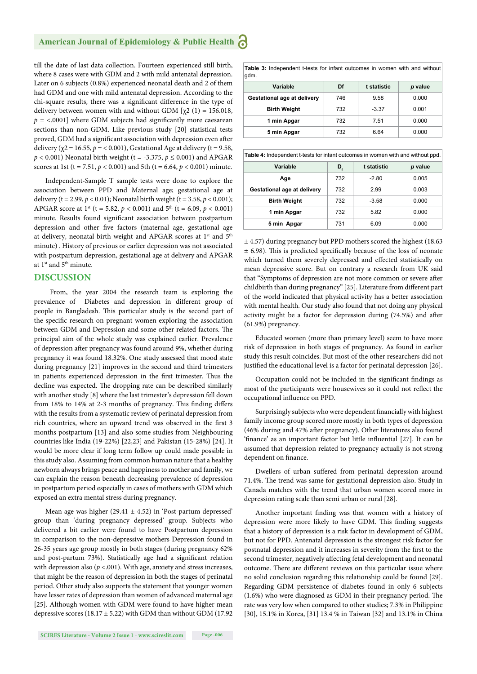till the date of last data collection. Fourteen experienced still birth, where 8 cases were with GDM and 2 with mild antenatal depression. Later on 6 subjects (0.8%) experienced neonatal death and 2 of them had GDM and one with mild antenatal depression. According to the chi-square results, there was a significant difference in the type of delivery between women with and without GDM  $[\chi^2 (1) = 156.018$ ,  $p =$  <.0001] where GDM subjects had significantly more caesarean sections than non-GDM. Like previous study [20] statistical tests proved, GDM had a significant association with depression even after delivery ( $\chi$ 2 = 16.55,  $p$  = < 0.001), Gestational Age at delivery (t = 9.58,  $p < 0.001$ ) Neonatal birth weight (t = -3.375,  $p \le 0.001$ ) and APGAR scores at 1st (t = 7.51,  $p < 0.001$ ) and 5th (t = 6.64,  $p < 0.001$ ) minute.

Independent-Sample T sample tests were done to explore the association between PPD and Maternal age; gestational age at delivery (t = 2.99,  $p < 0.01$ ); Neonatal birth weight (t = 3.58,  $p < 0.001$ ); APGAR score at 1<sup>st</sup> (t = 5.82,  $p < 0.001$ ) and 5<sup>th</sup> (t = 6.09,  $p < 0.001$ ) minute. Results found significant association between postpartum depression and other five factors (maternal age, gestational age at delivery, neonatal birth weight and APGAR scores at 1<sup>st</sup> and 5<sup>th</sup> minute) . History of previous or earlier depression was not associated with postpartum depression, gestational age at delivery and APGAR at 1<sup>st</sup> and 5<sup>th</sup> minute.

#### **DISCUSSION**

 From, the year 2004 the research team is exploring the prevalence of Diabetes and depression in different group of people in Bangladesh. This particular study is the second part of the specific research on pregnant women exploring the association between GDM and Depression and some other related factors. The principal aim of the whole study was explained earlier. Prevalence of depression after pregnancy was found around 9%, whether during pregnancy it was found 18.32%. One study assessed that mood state during pregnancy [21] improves in the second and third trimesters in patients experienced depression in the first trimester. Thus the decline was expected. The dropping rate can be described similarly with another study [8] where the last trimester's depression fell down from 18% to 14% at 2-3 months of pregnancy. This finding differs with the results from a systematic review of perinatal depression from rich countries, where an upward trend was observed in the first 3 months postpartum [13] and also some studies from Neighbouring countries like India (19-22%) [22,23] and Pakistan (15-28%) [24]. It would be more clear if long term follow up could made possible in this study also. Assuming from common human nature that a healthy newborn always brings peace and happiness to mother and family, we can explain the reason beneath decreasing prevalence of depression in postpartum period especially in cases of mothers with GDM which exposed an extra mental stress during pregnancy.

Mean age was higher (29.41 ± 4.52) in 'Post-partum depressed' group than 'during pregnancy depressed' group. Subjects who delivered a bit earlier were found to have Postpartum depression in comparison to the non-depressive mothers Depression found in 26-35 years age group mostly in both stages (during pregnancy 62% and post-partum 73%). Statistically age had a significant relation with depression also  $(p < .001)$ . With age, anxiety and stress increases, that might be the reason of depression in both the stages of perinatal period. Other study also supports the statement that younger women have lesser rates of depression than women of advanced maternal age [25]. Although women with GDM were found to have higher mean depressive scores (18.17  $\pm$  5.22) with GDM than without GDM (17.92) **Table 3:** Independent t-tests for infant outcomes in women with and without gdm.

| Variable                    | Df  | t statistic | p value |
|-----------------------------|-----|-------------|---------|
| Gestational age at delivery | 746 | 9.58        | 0.000   |
| <b>Birth Weight</b>         | 732 | $-3.37$     | 0.001   |
| 1 min Apgar                 | 732 | 7.51        | 0.000   |
| 5 min Apgar                 | 732 | 6.64        | 0.000   |

| Table 4: Independent t-tests for infant outcomes in women with and without ppd. |     |             |         |
|---------------------------------------------------------------------------------|-----|-------------|---------|
| Variable                                                                        | D,  | t statistic | p value |
| Age                                                                             | 732 | $-2.80$     | 0.005   |
| Gestational age at delivery                                                     | 732 | 2.99        | 0.003   |
| <b>Birth Weight</b>                                                             | 732 | $-3.58$     | 0.000   |
| 1 min Apgar                                                                     | 732 | 5.82        | 0.000   |
| 5 min Apgar                                                                     | 731 | 6.09        | 0.000   |

± 4.57) during pregnancy but PPD mothers scored the highest (18.63  $±$  6.98). This is predicted specifically because of the loss of neonate which turned them severely depressed and effected statistically on mean depressive score. But on contrary a research from UK said that "Symptoms of depression are not more common or severe after childbirth than during pregnancy" [25]. Literature from different part of the world indicated that physical activity has a better association with mental health. Our study also found that not doing any physical activity might be a factor for depression during (74.5%) and after (61.9%) pregnancy.

Educated women (more than primary level) seem to have more risk of depression in both stages of pregnancy. As found in earlier study this result coincides. But most of the other researchers did not justified the educational level is a factor for perinatal depression [26].

Occupation could not be included in the significant findings as most of the participants were housewives so it could not reflect the occupational influence on PPD.

Surprisingly subjects who were dependent financially with highest family income group scored more mostly in both types of depression (46% during and 47% after pregnancy). Other literatures also found 'finance' as an important factor but little influential [27]. It can be assumed that depression related to pregnancy actually is not strong dependent on finance.

Dwellers of urban suffered from perinatal depression around 71.4%. The trend was same for gestational depression also. Study in Canada matches with the trend that urban women scored more in depression rating scale than semi urban or rural [28].

Another important finding was that women with a history of depression were more likely to have GDM. This finding suggests that a history of depression is a risk factor in development of GDM, but not for PPD. Antenatal depression is the strongest risk factor for postnatal depression and it increases in severity from the first to the second trimester, negatively affecting fetal development and neonatal outcome. There are different reviews on this particular issue where no solid conclusion regarding this relationship could be found [29]. Regarding GDM persistence of diabetes found in only 6 subjects  $(1.6%)$  who were diagnosed as GDM in their pregnancy period. The rate was very low when compared to other studies; 7.3% in Philippine [30], 15.1% in Korea, [31] 13.4 % in Taiwan [32] and 13.1% in China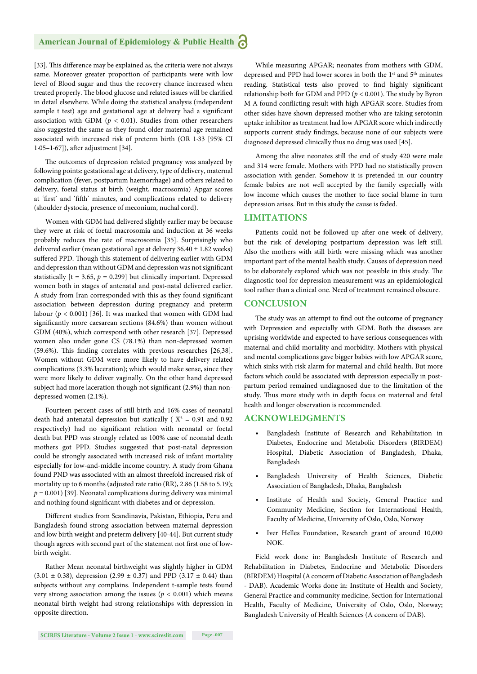#### **American Journal of Epidemiology & Public Health**

[33]. This difference may be explained as, the criteria were not always same. Moreover greater proportion of participants were with low level of Blood sugar and thus the recovery chance increased when treated properly. The blood glucose and related issues will be clarified in detail elsewhere. While doing the statistical analysis (independent sample t test) age and gestational age at delivery had a significant association with GDM ( $p < 0.01$ ). Studies from other researchers also suggested the same as they found older maternal age remained associated with increased risk of preterm birth (OR 1·33 [95% CI  $1.05-1.67$ ]), after adjustment [34].

The outcomes of depression related pregnancy was analyzed by following points: gestational age at delivery, type of delivery, maternal complication (fever, postpartum haemorrhage) and others related to delivery, foetal status at birth (weight, macrosomia) Apgar scores at 'first' and 'fifth' minutes, and complications related to delivery (shoulder dystocia, presence of meconium, nuchal cord).

Women with GDM had delivered slightly earlier may be because they were at risk of foetal macrosomia and induction at 36 weeks probably reduces the rate of macrosomia [35]. Surprisingly who delivered earlier (mean gestational age at delivery  $36.40 \pm 1.82$  weeks) suffered PPD. Though this statement of delivering earlier with GDM and depression than without GDM and depression was not significant statistically  $[t = 3.65, p = 0.299]$  but clinically important. Depressed women both in stages of antenatal and post-natal delivered earlier. A study from Iran corresponded with this as they found significant association between depression during pregnancy and preterm labour ( $p < 0.001$ ) [36]. It was marked that women with GDM had significantly more caesarean sections (84.6%) than women without GDM (40%), which correspond with other research [37]. Depressed women also under gone CS (78.1%) than non-depressed women  $(59.6\%)$ . This finding correlates with previous researches [26,38]. Women without GDM were more likely to have delivery related complications (3.3% laceration); which would make sense, since they were more likely to deliver vaginally. On the other hand depressed subject had more laceration though not significant (2.9%) than nondepressed women (2.1%).

Fourteen percent cases of still birth and 16% cases of neonatal death had antenatal depression but statically ( $X^2 = 0.91$  and 0.92 respectively) had no significant relation with neonatal or foetal death but PPD was strongly related as 100% case of neonatal death mothers got PPD. Studies suggested that post-natal depression could be strongly associated with increased risk of infant mortality especially for low-and-middle income country. A study from Ghana found PND was associated with an almost threefold increased risk of mortality up to 6 months (adjusted rate ratio (RR), 2.86 (1.58 to 5.19);  $p = 0.001$ ) [39]. Neonatal complications during delivery was minimal and nothing found significant with diabetes and or depression.

Different studies from Scandinavia, Pakistan, Ethiopia, Peru and Bangladesh found strong association between maternal depression and low birth weight and preterm delivery [40-44]. But current study though agrees with second part of the statement not first one of lowbirth weight.

Rather Mean neonatal birthweight was slightly higher in GDM  $(3.01 \pm 0.38)$ , depression  $(2.99 \pm 0.37)$  and PPD  $(3.17 \pm 0.44)$  than subjects without any complains. Independent t-sample tests found very strong association among the issues ( $p < 0.001$ ) which means neonatal birth weight had strong relationships with depression in opposite direction.

While measuring APGAR; neonates from mothers with GDM, depressed and PPD had lower scores in both the 1<sup>st</sup> and 5<sup>th</sup> minutes reading. Statistical tests also proved to find highly significant relationship both for GDM and PPD ( $p < 0.001$ ). The study by Byron M A found conflicting result with high APGAR score. Studies from other sides have shown depressed mother who are taking serotonin uptake inhibitor as treatment had low APGAR score which indirectly supports current study findings, because none of our subjects were diagnosed depressed clinically thus no drug was used [45].

Among the alive neonates still the end of study 420 were male and 314 were female. Mothers with PPD had no statistically proven association with gender. Somehow it is pretended in our country female babies are not well accepted by the family especially with low income which causes the mother to face social blame in turn depression arises. But in this study the cause is faded.

#### **LIMITATIONS**

Patients could not be followed up after one week of delivery, but the risk of developing postpartum depression was left still. Also the mothers with still birth were missing which was another important part of the mental health study. Causes of depression need to be elaborately explored which was not possible in this study. The diagnostic tool for depression measurement was an epidemiological tool rather than a clinical one. Need of treatment remained obscure.

#### **CONCLUSION**

The study was an attempt to find out the outcome of pregnancy with Depression and especially with GDM. Both the diseases are uprising worldwide and expected to have serious consequences with maternal and child mortality and morbidity. Mothers with physical and mental complications gave bigger babies with low APGAR score, which sinks with risk alarm for maternal and child health. But more factors which could be associated with depression especially in postpartum period remained undiagnosed due to the limitation of the study. Thus more study with in depth focus on maternal and fetal health and longer observation is recommended.

#### **ACKNOWLEDGMENTS**

- Bangladesh Institute of Research and Rehabilitation in Diabetes, Endocrine and Metabolic Disorders (BIRDEM) Hospital, Diabetic Association of Bangladesh, Dhaka, Bangladesh
- Bangladesh University of Health Sciences, Diabetic Association of Bangladesh, Dhaka, Bangladesh
- Institute of Health and Society, General Practice and Community Medicine, Section for International Health, Faculty of Medicine, University of Oslo, Oslo, Norway
- Iver Helles Foundation, Research grant of around 10,000 NOK.

Field work done in: Bangladesh Institute of Research and Rehabilitation in Diabetes, Endocrine and Metabolic Disorders (BIRDEM) Hospital (A concern of Diabetic Association of Bangladesh - DAB). Academic Works done in: Institute of Health and Society, General Practice and community medicine, Section for International Health, Faculty of Medicine, University of Oslo, Oslo, Norway; Bangladesh University of Health Sciences (A concern of DAB).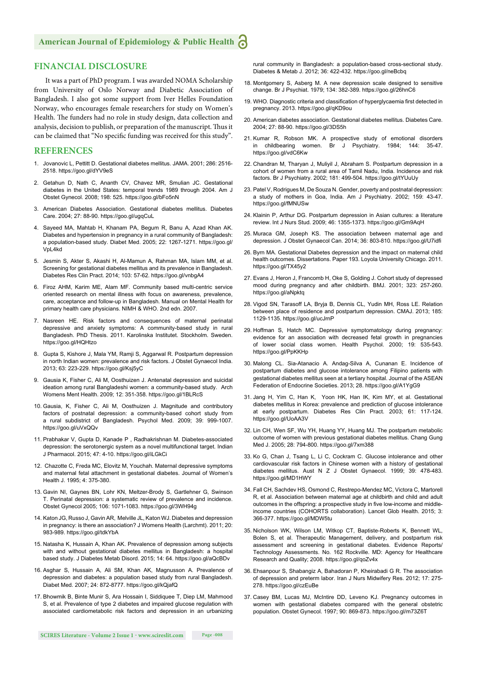#### **FINANCIAL DISCLOSURE**

It was a part of PhD program. I was awarded NOMA Scholarship from University of Oslo Norway and Diabetic Association of Bangladesh. I also got some support from Iver Helles Foundation Norway, who encourages female researchers for study on Women's Health. The funders had no role in study design, data collection and analysis, decision to publish, or preparation of the manuscript. Thus it can be claimed that "No specific funding was received for this study".

#### **REFERENCES**

- 1. Jovanovic L, Pettitt D. Gestational diabetes mellitus. JAMA. 2001; 286: 2516- 2518. https://goo.gl/dYV9eS
- 2. Getahun D, Nath C, Ananth CV, Chavez MR, Smulian JC. Gestational diabetes in the United States: temporal trends 1989 through 2004. Am J Obstet Gynecol. 2008; 198: 525. https://goo.gl/bFo5nN
- 3. American Diabetes Association. Gestational diabetes mellitus. Diabetes Care. 2004; 27: 88-90. https://goo.gl/ugqCuL
- 4. Sayeed MA, Mahtab H, Khanam PA, Begum R, Banu A, Azad Khan AK. Diabetes and hypertension in pregnancy in a rural community of Bangladesh: a population-based study. Diabet Med. 2005; 22: 1267-1271. https://goo.gl/ VpL4kd
- 5. Jesmin S, Akter S, Akashi H, Al-Mamun A, Rahman MA, Islam MM, et al. Screening for gestational diabetes mellitus and its prevalence in Bangladesh. Diabetes Res Clin Pract. 2014; 103: 57-62. https://goo.gl/vnbgA4
- 6. Firoz AHM, Karim ME, Alam MF. Community based multi-centric service oriented research on mental illness with focus on awareness, prevalence, care, acceptance and follow-up in Bangladesh. Manual on Mental Health for primary health care physicians. NIMH & WHO. 2nd edn. 2007.
- 7. Nasreen HE. Risk factors and consequences of maternal perinatal depressive and anxiety symptoms: A community-based study in rural Bangladesh. PhD Thesis. 2011. Karolinska Institutet. Stockholm. Sweden. https://goo.gl/HQHtzo
- 8. Gupta S, Kishore J, Mala YM, Ramji S, Aggarwal R. Postpartum depression in north Indian women: prevalence and risk factors. J Obstet Gynaecol India. 2013; 63: 223-229. https://goo.gl/Ksj5yC
- 9. Gausia K, Fisher C, Ali M, Oosthuizen J. Antenatal depression and suicidal ideation among rural Bangladeshi women: a community-based study. Arch Womens Ment Health. 2009; 12: 351-358. https://goo.gl/1BLRcS
- 10. Gausia, K, Fisher C, Ali M, Oosthuizen J. Magnitude and contributory factors of postnatal depression: a community-based cohort study from a rural subdistrict of Bangladesh. Psychol Med. 2009; 39: 999-1007. https://goo.gl/uVxQQv
- 11. Prabhakar V, Gupta D, Kanade P , Radhakrishnan M. Diabetes-associated depression: the serotonergic system as a novel multifunctional target. Indian J Pharmacol. 2015; 47: 4-10. https://goo.gl/iLGkCi
- 12. Chazotte C, Freda MC, Elovitz M, Youchah. Maternal depressive symptoms and maternal fetal attachment in gestational diabetes. Journal of Women's Health J. 1995; 4: 375-380.
- 13. Gavin NI, Gaynes BN, Lohr KN, Meltzer-Brody S, Gartlehner G, Swinson T. Perinatal depression: a systematic review of prevalence and incidence. Obstet Gynecol 2005; 106: 1071-1083. https://goo.gl/3WH94g
- 14. Katon JG, Russo J, Gavin AR, Melville JL, Katon WJ. Diabetes and depression in pregnancy: is there an association? J Womens Health (Larchmt). 2011; 20: 983-989. https://goo.gl/tdkYbA
- 15. Natasha K, Hussain A, Khan AK. Prevalence of depression among subjects with and without gestational diabetes mellitus in Bangladesh: a hospital based study. J Diabetes Metab Disord. 2015; 14: 64. https://goo.gl/aQcBDv
- 16. Asghar S, Hussain A, Ali SM, Khan AK, Magnusson A. Prevalence of depression and diabetes: a population based study from rural Bangladesh. Diabet Med. 2007; 24: 872-8777. https://goo.gl/kQjafQ
- 17. Bhowmik B, Binte Munir S, Ara Hossain I, Siddiquee T, Diep LM, Mahmood S, et al. Prevalence of type 2 diabetes and impaired glucose regulation with associated cardiometabolic risk factors and depression in an urbanizing

rural community in Bangladesh: a population-based cross-sectional study. Diabetes & Metab J. 2012; 36: 422-432. https://goo.gl/neBcbq

- 18. Montgomery S, Asberg M. A new depression scale designed to sensitive change. Br J Psychiat. 1979; 134: 382-389. https://goo.gl/26hnC6
- 19. WHO. Diagnostic criteria and classification of hyperglycaemia first detected in pregnancy. 2013. https://goo.gl/qKD9ou
- 20. American diabetes association. Gestational diabetes mellitus. Diabetes Care. 2004; 27: 88-90. https://goo.gl/3DS5h
- 21. Kumar R, Robson MK. A prospective study of emotional disorders in childbearing women. Br J Psychiatry. 1984; 144: 35-47. https://goo.gl/vdC6Kw
- 22. Chandran M, Tharyan J, Muliyil J, Abraham S. Postpartum depression in a cohort of women from a rural area of Tamil Nadu, India. Incidence and risk factors. Br J Psychiatry. 2002; 181: 499-504. https://goo.gl/tYUuUy
- 23. Patel V, Rodrigues M, De Souza N. Gender, poverty and postnatal depression: a study of mothers in Goa, India. Am J Psychiatry. 2002; 159: 43-47. https://goo.gl/fMNUSw
- 24. Klainin P, Arthur DG. Postpartum depression in Asian cultures: a literature review. Int J Nurs Stud. 2009; 46: 1355-1373. https://goo.gl/Gm9AqH
- 25. Muraca GM, Joseph KS. The association between maternal age and depression. J Obstet Gynaecol Can. 2014; 36: 803-810. https://goo.gl/U7idfi
- 26. Byrn MA. Gestational Diabetes depression and the impact on maternal child health outcomes. Dissertations. Paper 193. Loyola University Chicago. 2011. https://goo.gl/TX45y2
- 27. Evans J, Heron J, Francomb H, Oke S, Golding J. Cohort study of depressed mood during pregnancy and after childbirth. BMJ. 2001; 323: 257-260. https://goo.gl/aNpktq
- 28. Vigod SN, Tarasoff LA, Bryja B, Dennis CL, Yudin MH, Ross LE. Relation between place of residence and postpartum depression. CMAJ. 2013; 185: 1129-1135. https://goo.gl/ucJrnP
- 29. Hoffman S, Hatch MC. Depressive symptomatology during pregnancy: evidence for an association with decreased fetal growth in pregnancies of lower social class women. Health Psychol. 2000; 19: 535-543. https://goo.gl/PpKKHp
- 30. Malong CL. Sia-Atanacio A. Andag-Silva A, Cunanan E. Incidence of postpartum diabetes and glucose intolerance among Filipino patients with gestational diabetes mellitus seen at a tertiary hospital. Journal of the ASEAN Federation of Endocrine Societies. 2013; 28. https://goo.gl/A1YgG9
- 31. Jang H, Yim C, Han K, Yoon HK, Han IK, Kim MY, et al. Gestational diabetes mellitus in Korea: prevalence and prediction of glucose intolerance at early postpartum. Diabetes Res Clin Pract. 2003; 61: 117-124. https://goo.gl/UoAA3V
- 32. Lin CH, Wen SF, Wu YH, Huang YY, Huang MJ. The postpartum metabolic outcome of women with previous gestational diabetes mellitus. Chang Gung Med J. 2005; 28: 794-800. https://goo.gl/7xm388
- 33. Ko G, Chan J, Tsang L, Li C, Cockram C. Glucose intolerance and other cardiovascular risk factors in Chinese women with a history of gestational diabetes mellitus. Aust N Z J Obstet Gynaecol. 1999; 39: 478-483. https://goo.gl/MD1HWY
- 34. Fall CH, Sachdev HS, Osmond C, Restrepo-Mendez MC, Victora C, Martorell R, et al. Association between maternal age at childbirth and child and adult outcomes in the offspring: a prospective study in five low-income and middleincome countries (COHORTS collaboration). Lancet Glob Health. 2015; 3: 366-377. https://goo.gl/MDW5tu
- 35. Nicholson WK, Wilson LM, Witkop CT, Baptiste-Roberts K, Bennett WL, Bolen S, et al. Therapeutic Management, delivery, and postpartum risk assessment and screening in gestational diabetes. Evidence Reports/ Technology Assessments. No. 162 Rockville. MD: Agency for Healthcare Research and Quality; 2008. https://goo.gl/qoZv4x
- 36. Ehsanpour S, Shabangiz A, Bahadoran P, Kheirabadi G R. The association of depression and preterm labor. Iran J Nurs Midwifery Res. 2012; 17: 275- 278. https://goo.gl/czEuBe
- 37. Casey BM, Lucas MJ, McIntire DD, Leveno KJ. Pregnancy outcomes in women with gestational diabetes compared with the general obstetric population. Obstet Gynecol. 1997; 90: 869-873. https://goo.gl/m73Z6T